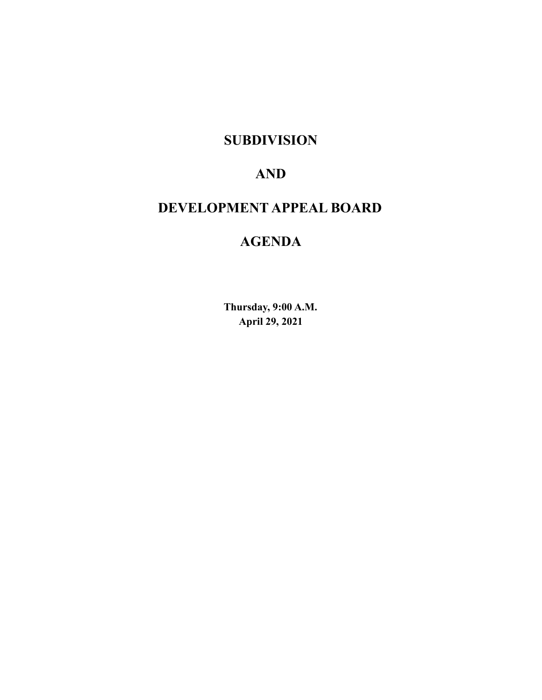# **SUBDIVISION**

# **AND**

# **DEVELOPMENT APPEAL BOARD**

# **AGENDA**

**Thursday, 9:00 A.M. April 29, 2021**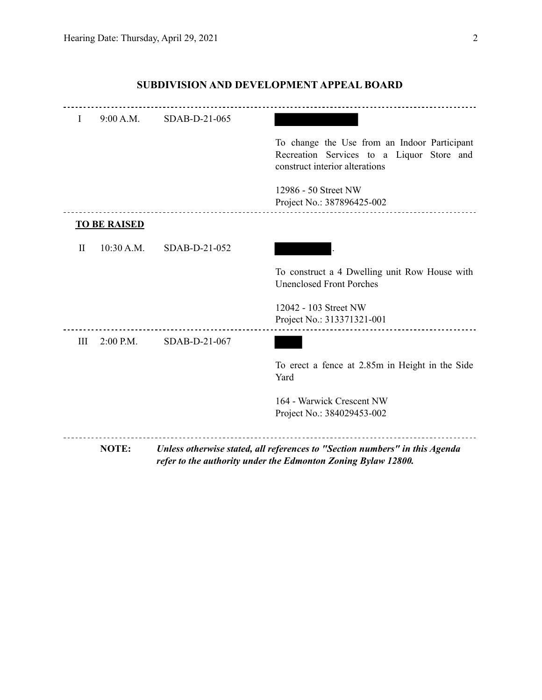| I            | 9:00 A.M.           | SDAB-D-21-065 |                                                                                                                                              |
|--------------|---------------------|---------------|----------------------------------------------------------------------------------------------------------------------------------------------|
|              |                     |               | To change the Use from an Indoor Participant<br>Recreation Services to a Liquor Store and<br>construct interior alterations                  |
|              |                     |               | 12986 - 50 Street NW<br>Project No.: 387896425-002                                                                                           |
|              | <b>TO BE RAISED</b> |               |                                                                                                                                              |
| $\mathbf{I}$ | 10:30 A.M.          | SDAB-D-21-052 |                                                                                                                                              |
|              |                     |               | To construct a 4 Dwelling unit Row House with<br><b>Unenclosed Front Porches</b>                                                             |
|              |                     |               | 12042 - 103 Street NW<br>Project No.: 313371321-001                                                                                          |
| Ш            | $2:00$ P.M.         | SDAB-D-21-067 |                                                                                                                                              |
|              |                     |               | To erect a fence at 2.85m in Height in the Side<br>Yard                                                                                      |
|              |                     |               | 164 - Warwick Crescent NW<br>Project No.: 384029453-002                                                                                      |
|              | NOTE:               |               | Unless otherwise stated, all references to "Section numbers" in this Agenda<br>refer to the authority under the Edmonton Zoning Bylaw 12800. |

## **SUBDIVISION AND DEVELOPMENT APPEAL BOARD**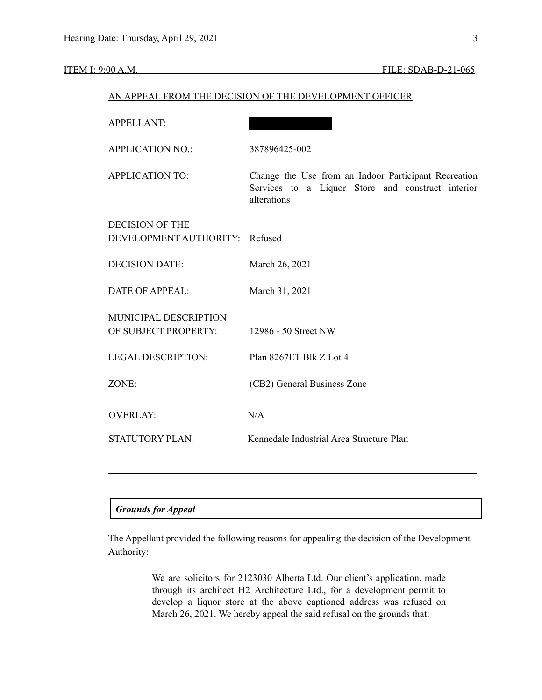| <b>APPELLANT:</b>                         |                                                                                                                          |
|-------------------------------------------|--------------------------------------------------------------------------------------------------------------------------|
| <b>APPLICATION NO.:</b>                   | 387896425-002                                                                                                            |
| <b>APPLICATION TO:</b>                    | Change the Use from an Indoor Participant Recreation<br>Services to a Liquor Store and construct interior<br>alterations |
| <b>DECISION OF THE</b>                    |                                                                                                                          |
| DEVELOPMENT AUTHORITY: Refused            |                                                                                                                          |
|                                           |                                                                                                                          |
| <b>DECISION DATE:</b>                     | March 26, 2021                                                                                                           |
| <b>DATE OF APPEAL:</b>                    | March 31, 2021                                                                                                           |
| MUNICIPAL DESCRIPTION                     |                                                                                                                          |
| OF SUBJECT PROPERTY: 12986 - 50 Street NW |                                                                                                                          |
|                                           |                                                                                                                          |
| <b>LEGAL DESCRIPTION:</b>                 | Plan 8267ET Blk Z Lot 4                                                                                                  |
| ZONE:                                     | (CB2) General Business Zone                                                                                              |
| <b>OVERLAY:</b>                           | N/A                                                                                                                      |
| <b>STATUTORY PLAN:</b>                    | Kennedale Industrial Area Structure Plan                                                                                 |
|                                           |                                                                                                                          |

### AN APPEAL FROM THE DECISION OF THE DEVELOPMENT OFFICER

#### *Grounds for Appeal*

The Appellant provided the following reasons for appealing the decision of the Development Authority:

> We are solicitors for 2123030 Alberta Ltd. Our client's application, made through its architect H2 Architecture Ltd., for a development permit to develop a liquor store at the above captioned address was refused on March 26, 2021. We hereby appeal the said refusal on the grounds that: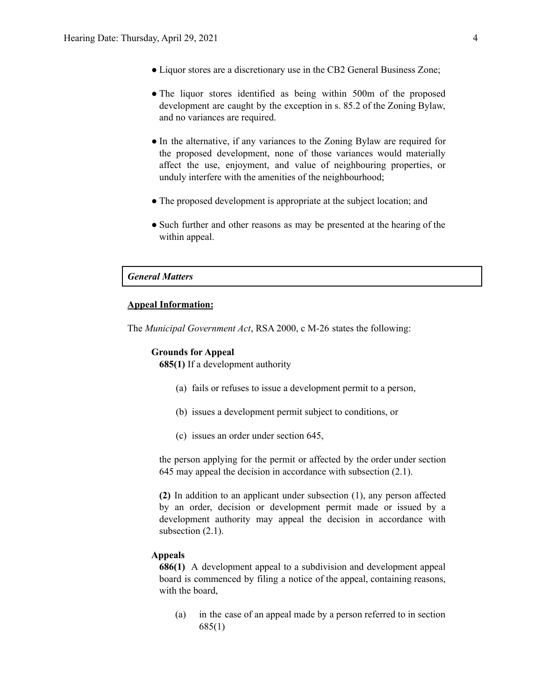- Liquor stores are a discretionary use in the CB2 General Business Zone;
- The liquor stores identified as being within 500m of the proposed development are caught by the exception in s. 85.2 of the Zoning Bylaw, and no variances are required.
- In the alternative, if any variances to the Zoning Bylaw are required for the proposed development, none of those variances would materially affect the use, enjoyment, and value of neighbouring properties, or unduly interfere with the amenities of the neighbourhood;
- The proposed development is appropriate at the subject location; and
- Such further and other reasons as may be presented at the hearing of the within appeal.

### *General Matters*

#### **Appeal Information:**

The *Municipal Government Act*, RSA 2000, c M-26 states the following:

#### **Grounds for Appeal**

**685(1)** If a development authority

- (a) fails or refuses to issue a development permit to a person,
- (b) issues a development permit subject to conditions, or
- (c) issues an order under section 645,

the person applying for the permit or affected by the order under section 645 may appeal the decision in accordance with subsection (2.1).

**(2)** In addition to an applicant under subsection (1), any person affected by an order, decision or development permit made or issued by a development authority may appeal the decision in accordance with subsection  $(2.1)$ .

#### **Appeals**

**686(1)** A development appeal to a subdivision and development appeal board is commenced by filing a notice of the appeal, containing reasons, with the board,

(a) in the case of an appeal made by a person referred to in section 685(1)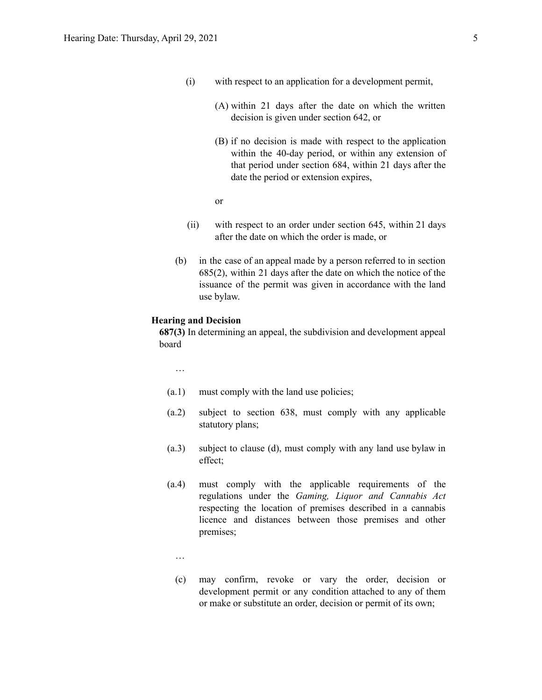- (i) with respect to an application for a development permit,
	- (A) within 21 days after the date on which the written decision is given under section 642, or
	- (B) if no decision is made with respect to the application within the 40-day period, or within any extension of that period under section 684, within 21 days after the date the period or extension expires,
	- or
- (ii) with respect to an order under section 645, within 21 days after the date on which the order is made, or
- (b) in the case of an appeal made by a person referred to in section 685(2), within 21 days after the date on which the notice of the issuance of the permit was given in accordance with the land use bylaw.

#### **Hearing and Decision**

**687(3)** In determining an appeal, the subdivision and development appeal board

…

- (a.1) must comply with the land use policies;
- (a.2) subject to section 638, must comply with any applicable statutory plans;
- (a.3) subject to clause (d), must comply with any land use bylaw in effect;
- (a.4) must comply with the applicable requirements of the regulations under the *Gaming, Liquor and Cannabis Act* respecting the location of premises described in a cannabis licence and distances between those premises and other premises;
	- …
	- (c) may confirm, revoke or vary the order, decision or development permit or any condition attached to any of them or make or substitute an order, decision or permit of its own;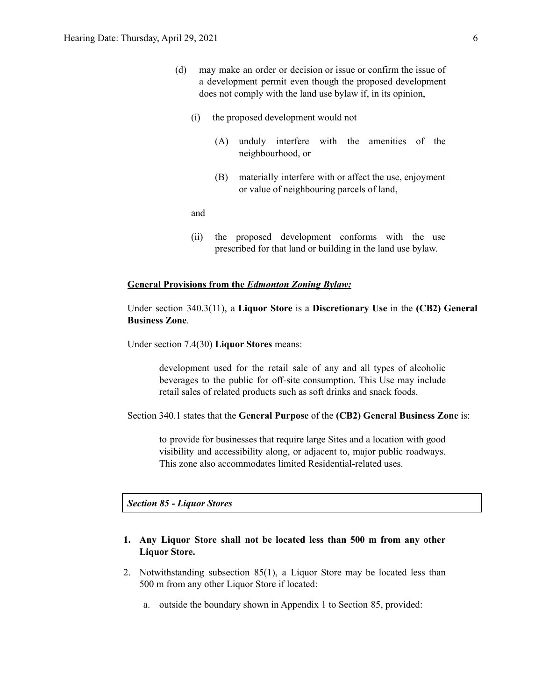- (d) may make an order or decision or issue or confirm the issue of a development permit even though the proposed development does not comply with the land use bylaw if, in its opinion,
	- (i) the proposed development would not
		- (A) unduly interfere with the amenities of the neighbourhood, or
		- (B) materially interfere with or affect the use, enjoyment or value of neighbouring parcels of land,

and

(ii) the proposed development conforms with the use prescribed for that land or building in the land use bylaw.

#### **General Provisions from the** *Edmonton Zoning Bylaw:*

Under section 340.3(11), a **Liquor Store** is a **Discretionary Use** in the **(CB2) General Business Zone**.

Under section 7.4(30) **Liquor Stores** means:

development used for the retail sale of any and all types of alcoholic beverages to the public for off-site consumption. This Use may include retail sales of related products such as soft drinks and snack foods.

Section 340.1 states that the **General Purpose** of the **(CB2) General Business Zone** is:

to provide for businesses that require large Sites and a location with good visibility and accessibility along, or adjacent to, major public roadways. This zone also accommodates limited Residential-related uses.

*Section 85 - Liquor Stores*

#### **1. Any Liquor Store shall not be located less than [500](https://webdocs.edmonton.ca/InfraPlan/zoningbylaw/ZoningBylaw/Measurements/im500.htm) m from any other Liquor Store.**

- 2. Notwithstanding subsection 85(1), a Liquor Store may be located less than [500](https://webdocs.edmonton.ca/InfraPlan/zoningbylaw/ZoningBylaw/Measurements/im500.htm) m from any other Liquor Store if located:
	- a. outside the boundary shown in Appendix 1 to Section 85, provided: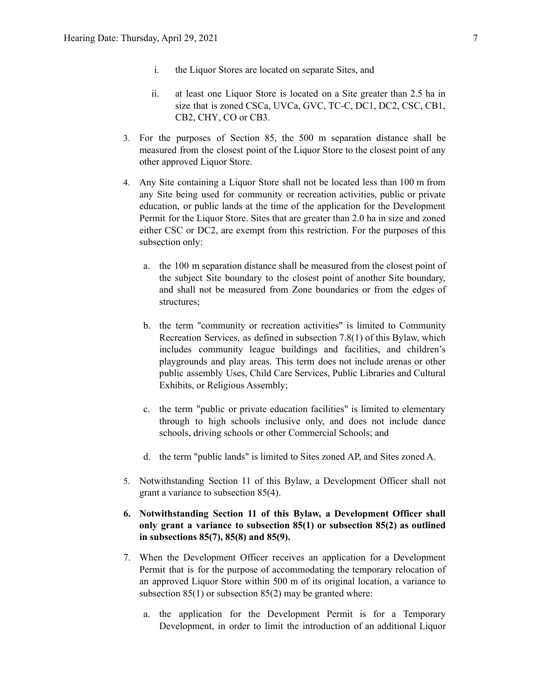- i. the Liquor Stores are located on separate Sites, and
- ii. at least one Liquor Store is located on a Site greater than 2.5 ha in size that is zoned [CSCa](https://webdocs.edmonton.ca/InfraPlan/zoningbylaw/ZoningBylaw/Part2/Special_Areas/960_5_(CSCa)_Ambleside_Shopping_Centre_Zone.htm), [UVCa,](https://webdocs.edmonton.ca/InfraPlan/zoningbylaw/ZoningBylaw/Part2/Special_Areas/960.6_(UVCa)_Ambleside_Urban_Village_Commercial_Zone.htm) [GVC,](https://webdocs.edmonton.ca/InfraPlan/zoningbylaw/ZoningBylaw/Part2/Special_Areas/940_6_(GVC)_Griesbach_Village_Centre_Zone.htm) [TC-C](https://webdocs.edmonton.ca/InfraPlan/zoningbylaw/ZoningBylaw/Part2/Special_Areas/990_4_(TC-C)_Heritage_Valley_Town_Centre_Commercial_Zone.htm), [DC1](https://webdocs.edmonton.ca/InfraPlan/zoningbylaw/ZoningBylaw/Part2/Direct/710_(DC1)_Direct_Development_Control_Provision.htm), [DC2,](https://webdocs.edmonton.ca/InfraPlan/zoningbylaw/ZoningBylaw/Part2/Direct/720_(DC2)_Site_Specific_Development_Control_Provision.htm) [CSC,](https://webdocs.edmonton.ca/InfraPlan/zoningbylaw/ZoningBylaw/Part2/Commercial/320_(CSC)_Shopping_Centre_Zone.htm) [CB1,](https://webdocs.edmonton.ca/InfraPlan/zoningbylaw/ZoningBylaw/Part2/Commercial/330_(CB1)_Low_Intensity_Business_Zone.htm) [CB2](https://webdocs.edmonton.ca/InfraPlan/zoningbylaw/ZoningBylaw/Part2/Commercial/340_(CB2)_General_Business_Zone.htm), [CHY,](https://webdocs.edmonton.ca/InfraPlan/zoningbylaw/ZoningBylaw/Part2/Commercial/350_(CHY)_Highway_Corridor_Zone.htm) [CO](https://webdocs.edmonton.ca/InfraPlan/zoningbylaw/ZoningBylaw/Part2/Commercial/360_(CO)_Commercial_Office_Zone.htm) or [CB3](https://webdocs.edmonton.ca/InfraPlan/zoningbylaw/ZoningBylaw/Part2/Commercial/370_(CB3)_Commercial_Mixed_Business_Zone.htm).
- 3. For the purposes of Section 85, the [500](https://webdocs.edmonton.ca/InfraPlan/zoningbylaw/ZoningBylaw/Measurements/im500.htm) m separation distance shall be measured from the closest point of the Liquor Store to the closest point of any other approved Liquor Store.
- 4. Any Site containing a Liquor Store shall not be located less than 100 m from any Site being used for community or recreation activities, public or private education, or public lands at the time of the application for the Development Permit for the Liquor Store. Sites that are greater than 2.0 ha in size and zoned either CSC or DC2, are exempt from this restriction. For the purposes of this subsection only:
	- a. the 100 m separation distance shall be measured from the closest point of the subject Site boundary to the closest point of another Site boundary, and shall not be measured from Zone boundaries or from the edges of structures;
	- b. the term "community or recreation activities" is limited to Community Recreation Services, as defined in subsection 7.8(1) of this Bylaw, which includes community league buildings and facilities, and children's playgrounds and play areas. This term does not include arenas or other public assembly Uses, Child Care Services, Public Libraries and Cultural Exhibits, or Religious Assembly;
	- c. the term "public or private education facilities" is limited to elementary through to high schools inclusive only, and does not include dance schools, driving schools or other Commercial Schools; and
	- d. the term "public lands" is limited to Sites zoned AP, and Sites zoned A.
- 5. Notwithstanding Section 11 of this Bylaw, a Development Officer shall not grant a variance to subsection 85(4).
- **6. Notwithstanding Section 11 of this Bylaw, a Development Officer shall only grant a variance to subsection 85(1) or subsection 85(2) as outlined in subsections 85(7), 85(8) and 85(9).**
- 7. When the Development Officer receives an application for a Development Permit that is for the purpose of accommodating the temporary relocation of an approved Liquor Store within 500 m of its original location, a variance to subsection  $85(1)$  or subsection  $85(2)$  may be granted where:
	- a. the application for the Development Permit is for a Temporary Development, in order to limit the introduction of an additional Liquor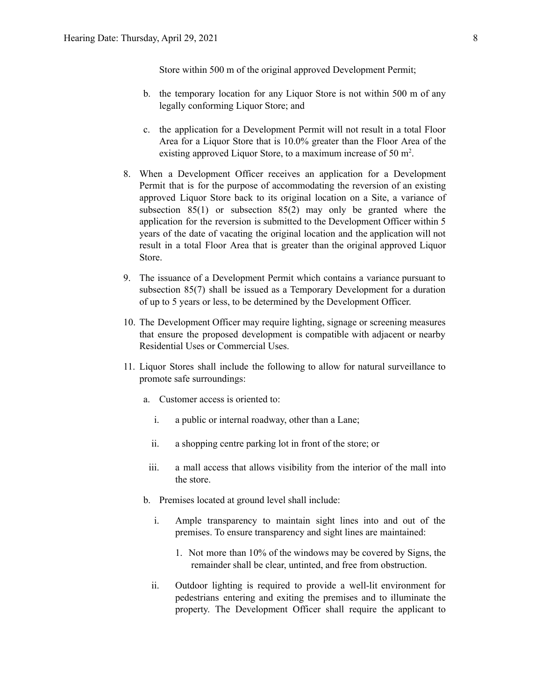Store within [500](https://webdocs.edmonton.ca/InfraPlan/zoningbylaw/ZoningBylaw/Measurements/im500.htm) m of the original approved Development Permit;

- b. the temporary location for any Liquor Store is not within [500](https://webdocs.edmonton.ca/InfraPlan/zoningbylaw/ZoningBylaw/Measurements/im500.htm) m of any legally conforming Liquor Store; and
- c. the application for a Development Permit will not result in a total Floor Area for a Liquor Store that is 10.0% greater than the Floor Area of the existing approved Liquor Store, to a maximum increase of [50](https://webdocs.edmonton.ca/InfraPlan/zoningbylaw/ZoningBylaw/Measurements/ia50.htm) m<sup>2</sup>.
- 8. When a Development Officer receives an application for a Development Permit that is for the purpose of accommodating the reversion of an existing approved Liquor Store back to its original location on a Site, a variance of subsection 85(1) or subsection 85(2) may only be granted where the application for the reversion is submitted to the Development Officer within 5 years of the date of vacating the original location and the application will not result in a total Floor Area that is greater than the original approved Liquor Store.
- 9. The issuance of a Development Permit which contains a variance pursuant to subsection 85(7) shall be issued as a Temporary Development for a duration of up to 5 years or less, to be determined by the Development Officer.
- 10. The Development Officer may require lighting, signage or screening measures that ensure the proposed development is compatible with adjacent or nearby Residential Uses or Commercial Uses.
- 11. Liquor Stores shall include the following to allow for natural surveillance to promote safe surroundings:
	- a. Customer access is oriented to:
		- i. a public or internal roadway, other than a Lane;
		- ii. a shopping centre parking lot in front of the store; or
	- iii. a mall access that allows visibility from the interior of the mall into the store.
	- b. Premises located at ground level shall include:
		- i. Ample transparency to maintain sight lines into and out of the premises. To ensure transparency and sight lines are maintained:
			- 1. Not more than 10% of the windows may be covered by Signs, the remainder shall be clear, untinted, and free from obstruction.
		- ii. Outdoor lighting is required to provide a well-lit environment for pedestrians entering and exiting the premises and to illuminate the property. The Development Officer shall require the applicant to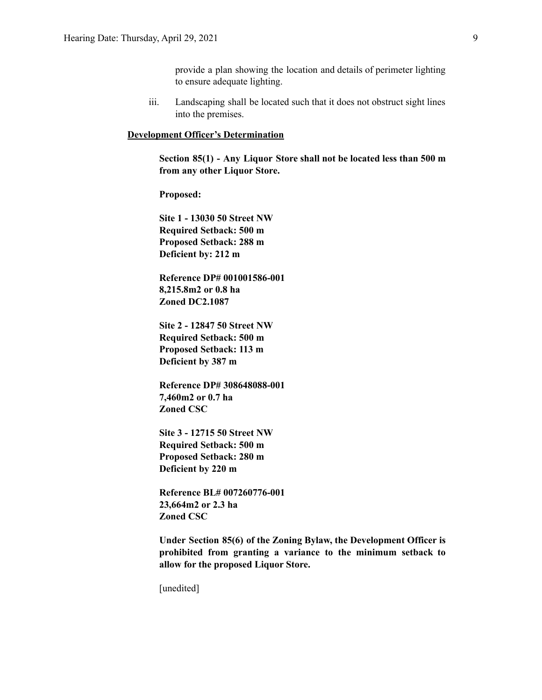provide a plan showing the location and details of perimeter lighting to ensure adequate lighting.

iii. Landscaping shall be located such that it does not obstruct sight lines into the premises.

#### **Development Officer's Determination**

**Section 85(1) - Any Liquor Store shall not be located less than 500 m from any other Liquor Store.**

**Proposed:**

**Site 1 - 13030 50 Street NW Required Setback: 500 m Proposed Setback: 288 m Deficient by: 212 m**

**Reference DP# 001001586-001 8,215.8m2 or 0.8 ha Zoned DC2.1087**

**Site 2 - 12847 50 Street NW Required Setback: 500 m Proposed Setback: 113 m Deficient by 387 m**

**Reference DP# 308648088-001 7,460m2 or 0.7 ha Zoned CSC**

**Site 3 - 12715 50 Street NW Required Setback: 500 m Proposed Setback: 280 m Deficient by 220 m**

**Reference BL# 007260776-001 23,664m2 or 2.3 ha Zoned CSC**

**Under Section 85(6) of the Zoning Bylaw, the Development Officer is prohibited from granting a variance to the minimum setback to allow for the proposed Liquor Store.**

[unedited]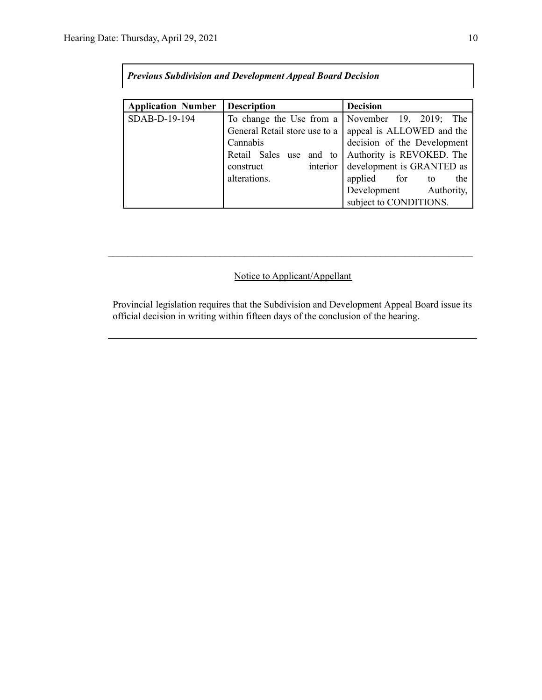| <b>Previous Subdivision and Development Appeal Board Decision</b> |                                                                                                                                           |                                                                                                                                                                                                                                 |  |  |  |  |
|-------------------------------------------------------------------|-------------------------------------------------------------------------------------------------------------------------------------------|---------------------------------------------------------------------------------------------------------------------------------------------------------------------------------------------------------------------------------|--|--|--|--|
| <b>Application Number</b>                                         | <b>Description</b>                                                                                                                        | <b>Decision</b>                                                                                                                                                                                                                 |  |  |  |  |
| SDAB-D-19-194                                                     | To change the Use from a<br>General Retail store use to a<br>Cannabis<br>Retail Sales use and to<br>interior<br>construct<br>alterations. | November 19, 2019;<br>The<br>appeal is ALLOWED and the<br>decision of the Development<br>Authority is REVOKED. The<br>development is GRANTED as<br>applied for<br>the<br>to<br>Development Authority,<br>subject to CONDITIONS. |  |  |  |  |

## Notice to Applicant/Appellant

 $\mathcal{L}_\text{max} = \frac{1}{2} \sum_{i=1}^n \mathcal{L}_\text{max} = \frac{1}{2} \sum_{i=1}^n \mathcal{L}_\text{max} = \frac{1}{2} \sum_{i=1}^n \mathcal{L}_\text{max} = \frac{1}{2} \sum_{i=1}^n \mathcal{L}_\text{max} = \frac{1}{2} \sum_{i=1}^n \mathcal{L}_\text{max} = \frac{1}{2} \sum_{i=1}^n \mathcal{L}_\text{max} = \frac{1}{2} \sum_{i=1}^n \mathcal{L}_\text{max} = \frac{1}{2} \sum_{i=$ 

Provincial legislation requires that the Subdivision and Development Appeal Board issue its official decision in writing within fifteen days of the conclusion of the hearing.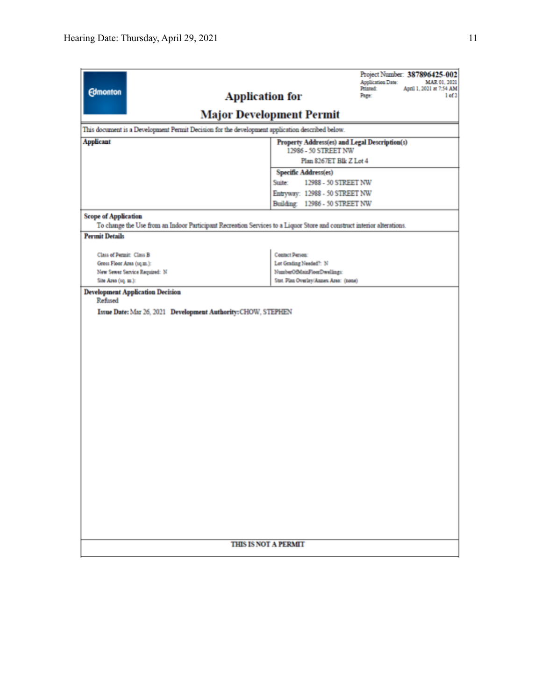|                                                                                                                                                                                | <b>Application Date:</b><br>MAR 01, 2021<br>Printed:<br>April 1, 2021 at 7:54 AM<br><b>Application for</b><br>Page:<br>1 of 2 |  |  |  |  |  |
|--------------------------------------------------------------------------------------------------------------------------------------------------------------------------------|-------------------------------------------------------------------------------------------------------------------------------|--|--|--|--|--|
|                                                                                                                                                                                | <b>Major Development Permit</b>                                                                                               |  |  |  |  |  |
| This document is a Development Permit Decision for the development application described below.                                                                                |                                                                                                                               |  |  |  |  |  |
| <b>Applicant</b><br>Property Address(es) and Legal Description(s)<br>12986 - 50 STREET NW                                                                                      |                                                                                                                               |  |  |  |  |  |
|                                                                                                                                                                                | Plan 8267ET Blk Z Lot 4                                                                                                       |  |  |  |  |  |
|                                                                                                                                                                                | Specific Address(es)                                                                                                          |  |  |  |  |  |
|                                                                                                                                                                                | Suite:<br>12988 - 50 STREET NW                                                                                                |  |  |  |  |  |
|                                                                                                                                                                                | Entryway: 12988 - 50 STREET NW                                                                                                |  |  |  |  |  |
|                                                                                                                                                                                | Building: 12986 - 50 STREET NW                                                                                                |  |  |  |  |  |
| <b>Scope of Application</b><br>To change the Use from an Indoor Participant Recreation Services to a Liquor Store and construct interior alterations.<br><b>Permit Details</b> |                                                                                                                               |  |  |  |  |  |
|                                                                                                                                                                                |                                                                                                                               |  |  |  |  |  |
| Class of Permit: Class B                                                                                                                                                       | <b>Contact Person:</b>                                                                                                        |  |  |  |  |  |
| Gross Floor Area (sq.m.):                                                                                                                                                      | Lot Grading Needed?: N                                                                                                        |  |  |  |  |  |
| New Sewer Service Required: N<br>Site Area (1q. m.):                                                                                                                           | NumberOfMainFloorDwellings:<br>Stat. Plan Overlay/Annex Area: (none)                                                          |  |  |  |  |  |
|                                                                                                                                                                                |                                                                                                                               |  |  |  |  |  |
|                                                                                                                                                                                |                                                                                                                               |  |  |  |  |  |
|                                                                                                                                                                                |                                                                                                                               |  |  |  |  |  |
|                                                                                                                                                                                |                                                                                                                               |  |  |  |  |  |
|                                                                                                                                                                                |                                                                                                                               |  |  |  |  |  |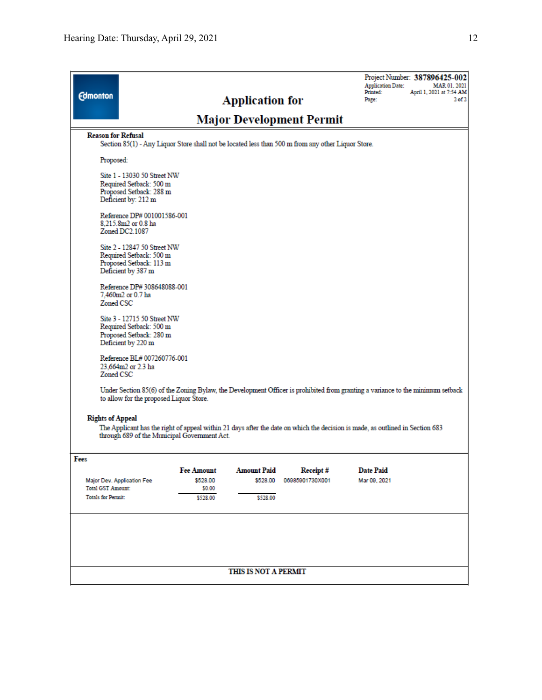| <b>Edmonton</b>                                                                                                                                                                                          |                                                                                                                                                                           |                               | <b>Application for</b>         |                                 | Project Number: 387896425-002<br><b>Application Date:</b><br>MAR 01, 2021<br>Printed:<br>April 1, 2021 at 7:54 AM<br>Page:<br>$2$ of $2$ |  |  |  |
|----------------------------------------------------------------------------------------------------------------------------------------------------------------------------------------------------------|---------------------------------------------------------------------------------------------------------------------------------------------------------------------------|-------------------------------|--------------------------------|---------------------------------|------------------------------------------------------------------------------------------------------------------------------------------|--|--|--|
|                                                                                                                                                                                                          |                                                                                                                                                                           |                               |                                | <b>Major Development Permit</b> |                                                                                                                                          |  |  |  |
| <b>Reason for Refusal</b><br>Section 85(1) - Any Liquor Store shall not be located less than 500 m from any other Liquor Store.                                                                          |                                                                                                                                                                           |                               |                                |                                 |                                                                                                                                          |  |  |  |
|                                                                                                                                                                                                          | Proposed:                                                                                                                                                                 |                               |                                |                                 |                                                                                                                                          |  |  |  |
|                                                                                                                                                                                                          | Site 1 - 13030 50 Street NW<br>Required Setback: 500 m<br>Proposed Setback: 288 m<br>Deficient by: 212 m                                                                  |                               |                                |                                 |                                                                                                                                          |  |  |  |
|                                                                                                                                                                                                          | Reference DP# 001001586-001<br>8,215.8m2 or 0.8 ha<br>Zoned DC2.1087                                                                                                      |                               |                                |                                 |                                                                                                                                          |  |  |  |
|                                                                                                                                                                                                          | Site 2 - 12847 50 Street NW<br>Required Setback: 500 m<br>Proposed Setback: 113 m<br>Deficient by 387 m                                                                   |                               |                                |                                 |                                                                                                                                          |  |  |  |
| Zoned CSC                                                                                                                                                                                                | Reference DP# 308648088-001<br>7,460m2 or 0.7 ha                                                                                                                          |                               |                                |                                 |                                                                                                                                          |  |  |  |
|                                                                                                                                                                                                          | Site 3 - 12715 50 Street NW<br>Required Setback: 500 m<br>Proposed Setback: 280 m<br>Deficient by 220 m                                                                   |                               |                                |                                 |                                                                                                                                          |  |  |  |
| Zoned CSC                                                                                                                                                                                                | Reference BL# 007260776-001<br>23.664m2 or 2.3 ha                                                                                                                         |                               |                                |                                 |                                                                                                                                          |  |  |  |
|                                                                                                                                                                                                          | Under Section 85(6) of the Zoning Bylaw, the Development Officer is prohibited from granting a variance to the minimum setback<br>to allow for the proposed Liquor Store. |                               |                                |                                 |                                                                                                                                          |  |  |  |
| <b>Rights of Appeal</b><br>The Applicant has the right of appeal within 21 days after the date on which the decision is made, as outlined in Section 683<br>through 689 of the Municipal Government Act. |                                                                                                                                                                           |                               |                                |                                 |                                                                                                                                          |  |  |  |
| Fees                                                                                                                                                                                                     |                                                                                                                                                                           |                               |                                |                                 |                                                                                                                                          |  |  |  |
| Major Dev. Application Fee                                                                                                                                                                               |                                                                                                                                                                           | <b>Fee Amount</b><br>\$528.00 | <b>Amount Paid</b><br>\$528.00 | Receipt#<br>06985901730X001     | <b>Date Paid</b><br>Mar 09, 2021                                                                                                         |  |  |  |
| <b>Total GST Amount:</b><br><b>Totals for Permit:</b>                                                                                                                                                    |                                                                                                                                                                           | \$0.00<br>\$528.00            | \$528.00                       |                                 |                                                                                                                                          |  |  |  |
|                                                                                                                                                                                                          |                                                                                                                                                                           |                               |                                |                                 |                                                                                                                                          |  |  |  |
| THIS IS NOT A PERMIT                                                                                                                                                                                     |                                                                                                                                                                           |                               |                                |                                 |                                                                                                                                          |  |  |  |
|                                                                                                                                                                                                          |                                                                                                                                                                           |                               |                                |                                 |                                                                                                                                          |  |  |  |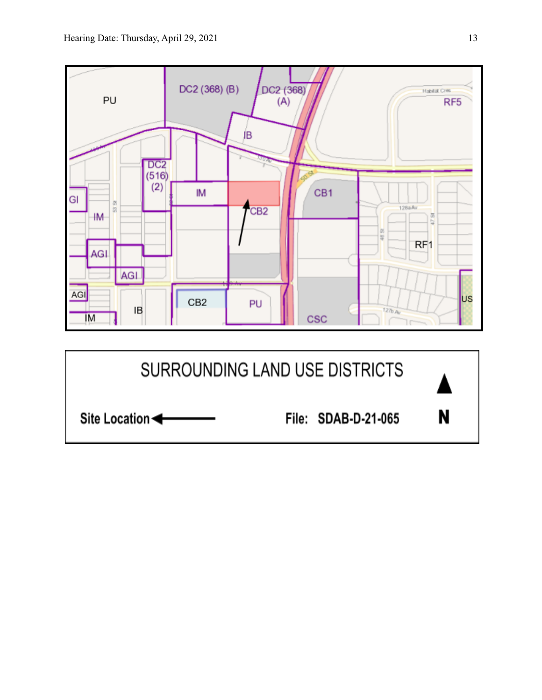

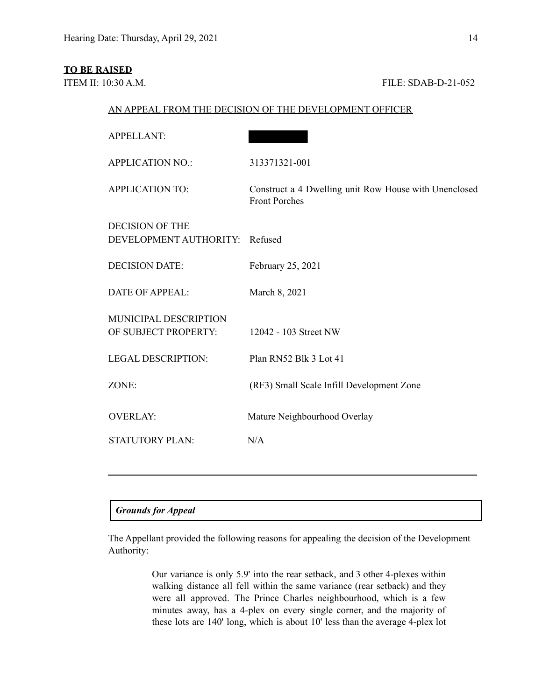#### **TO BE RAISED**

|                                                  | AN APPEAL FROM THE DECISION OF THE DEVELOPMENT OFFICER                        |
|--------------------------------------------------|-------------------------------------------------------------------------------|
| <b>APPELLANT:</b>                                |                                                                               |
| <b>APPLICATION NO.:</b>                          | 313371321-001                                                                 |
| <b>APPLICATION TO:</b>                           | Construct a 4 Dwelling unit Row House with Unenclosed<br><b>Front Porches</b> |
| <b>DECISION OF THE</b><br>DEVELOPMENT AUTHORITY: | Refused                                                                       |
| <b>DECISION DATE:</b>                            | February 25, 2021                                                             |
| <b>DATE OF APPEAL:</b>                           | March 8, 2021                                                                 |
| MUNICIPAL DESCRIPTION<br>OF SUBJECT PROPERTY:    | 12042 - 103 Street NW                                                         |
| <b>LEGAL DESCRIPTION:</b>                        | Plan RN52 Blk 3 Lot 41                                                        |
| ZONE:                                            | (RF3) Small Scale Infill Development Zone                                     |
| <b>OVERLAY:</b>                                  | Mature Neighbourhood Overlay                                                  |
| <b>STATUTORY PLAN:</b>                           | N/A                                                                           |
|                                                  |                                                                               |

#### *Grounds for Appeal*

The Appellant provided the following reasons for appealing the decision of the Development Authority:

> Our variance is only 5.9' into the rear setback, and 3 other 4-plexes within walking distance all fell within the same variance (rear setback) and they were all approved. The Prince Charles neighbourhood, which is a few minutes away, has a 4-plex on every single corner, and the majority of these lots are 140' long, which is about 10' less than the average 4-plex lot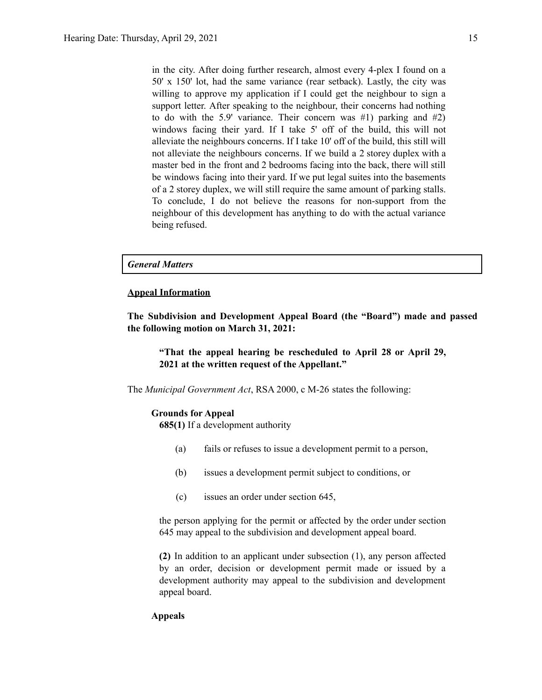in the city. After doing further research, almost every 4-plex I found on a 50' x 150' lot, had the same variance (rear setback). Lastly, the city was willing to approve my application if I could get the neighbour to sign a support letter. After speaking to the neighbour, their concerns had nothing to do with the 5.9' variance. Their concern was  $#1$ ) parking and  $#2$ ) windows facing their yard. If I take 5' off of the build, this will not alleviate the neighbours concerns. If I take 10' off of the build, this still will not alleviate the neighbours concerns. If we build a 2 storey duplex with a master bed in the front and 2 bedrooms facing into the back, there will still be windows facing into their yard. If we put legal suites into the basements of a 2 storey duplex, we will still require the same amount of parking stalls. To conclude, I do not believe the reasons for non-support from the neighbour of this development has anything to do with the actual variance being refused.

#### *General Matters*

#### **Appeal Information**

**The Subdivision and Development Appeal Board (the "Board") made and passed the following motion on March 31, 2021:**

**"That the appeal hearing be rescheduled to April 28 or April 29, 2021 at the written request of the Appellant."**

The *Municipal Government Act*, RSA 2000, c M-26 states the following:

#### **Grounds for Appeal**

**685(1)** If a development authority

- (a) fails or refuses to issue a development permit to a person,
- (b) issues a development permit subject to conditions, or
- (c) issues an order under section 645,

the person applying for the permit or affected by the order under section 645 may appeal to the subdivision and development appeal board.

**(2)** In addition to an applicant under subsection (1), any person affected by an order, decision or development permit made or issued by a development authority may appeal to the subdivision and development appeal board.

#### **Appeals**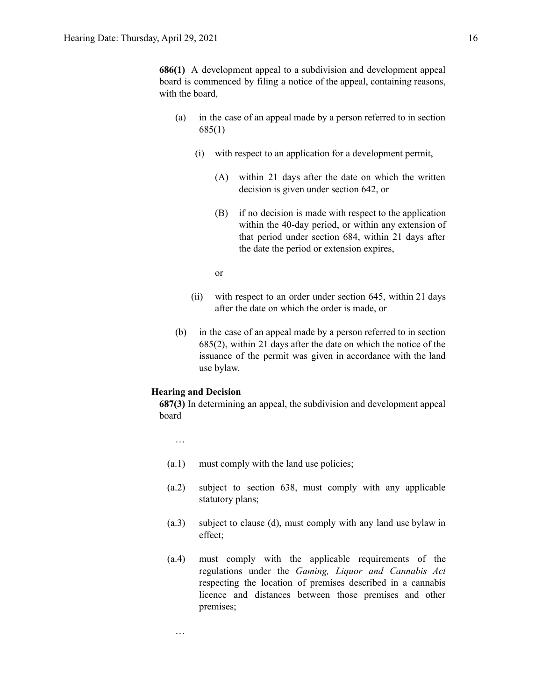**686(1)** A development appeal to a subdivision and development appeal board is commenced by filing a notice of the appeal, containing reasons, with the board,

- (a) in the case of an appeal made by a person referred to in section 685(1)
	- (i) with respect to an application for a development permit,
		- (A) within 21 days after the date on which the written decision is given under section 642, or
		- (B) if no decision is made with respect to the application within the 40-day period, or within any extension of that period under section 684, within 21 days after the date the period or extension expires,

or

- (ii) with respect to an order under section 645, within 21 days after the date on which the order is made, or
- (b) in the case of an appeal made by a person referred to in section 685(2), within 21 days after the date on which the notice of the issuance of the permit was given in accordance with the land use bylaw.

#### **Hearing and Decision**

**687(3)** In determining an appeal, the subdivision and development appeal board

…

…

- (a.1) must comply with the land use policies;
- (a.2) subject to section 638, must comply with any applicable statutory plans;
- (a.3) subject to clause (d), must comply with any land use bylaw in effect;
- (a.4) must comply with the applicable requirements of the regulations under the *Gaming, Liquor and Cannabis Act* respecting the location of premises described in a cannabis licence and distances between those premises and other premises;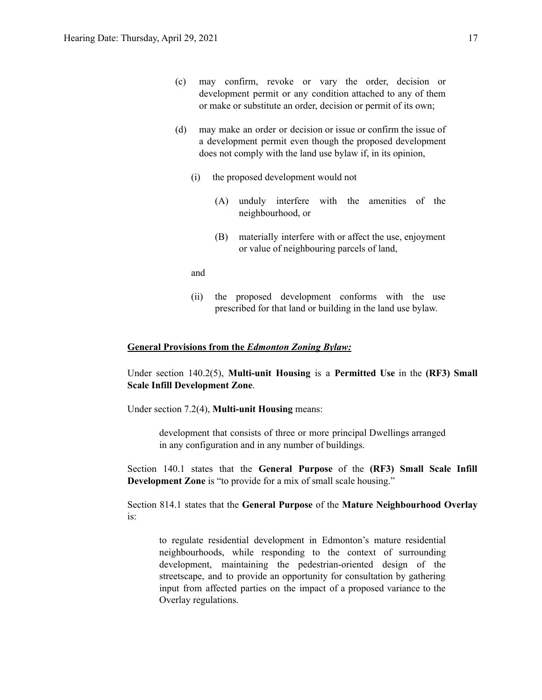- (c) may confirm, revoke or vary the order, decision or development permit or any condition attached to any of them or make or substitute an order, decision or permit of its own;
- (d) may make an order or decision or issue or confirm the issue of a development permit even though the proposed development does not comply with the land use bylaw if, in its opinion,
	- (i) the proposed development would not
		- (A) unduly interfere with the amenities of the neighbourhood, or
		- (B) materially interfere with or affect the use, enjoyment or value of neighbouring parcels of land,
	- and
	- (ii) the proposed development conforms with the use prescribed for that land or building in the land use bylaw.

#### **General Provisions from the** *Edmonton Zoning Bylaw:*

Under section 140.2(5), **Multi-unit Housing** is a **Permitted Use** in the **(RF3) Small Scale Infill Development Zone**.

Under section 7.2(4), **Multi-unit Housing** means:

development that consists of three or more principal Dwellings arranged in any configuration and in any number of buildings.

Section 140.1 states that the **General Purpose** of the **(RF3) Small Scale Infill Development Zone** is "to provide for a mix of small scale housing."

Section 814.1 states that the **General Purpose** of the **Mature Neighbourhood Overlay** is:

to regulate residential development in Edmonton's mature residential neighbourhoods, while responding to the context of surrounding development, maintaining the pedestrian-oriented design of the streetscape, and to provide an opportunity for consultation by gathering input from affected parties on the impact of a proposed variance to the Overlay regulations.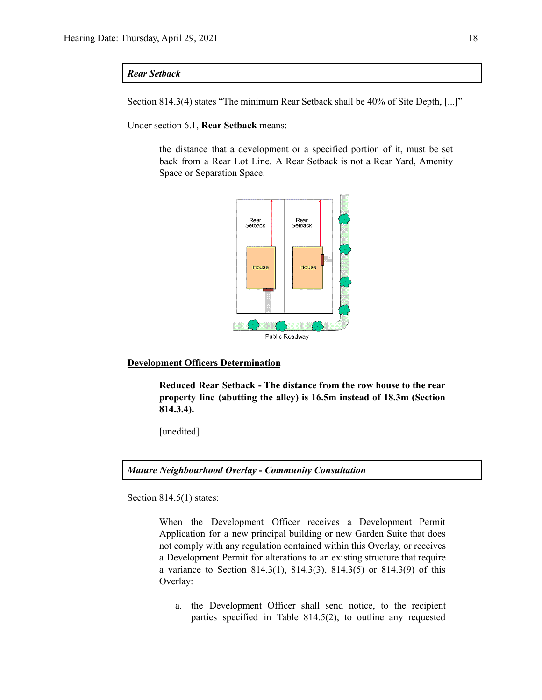#### *Rear Setback*

Section 814.3(4) states "The minimum Rear Setback shall be 40% of Site Depth, [...]"

Under section 6.1, **Rear Setback** means:

the distance that a development or a specified portion of it, must be set back from a Rear Lot Line. A Rear Setback is not a Rear Yard, Amenity Space or Separation Space.



#### **Development Officers Determination**

**Reduced Rear Setback - The distance from the row house to the rear property line (abutting the alley) is 16.5m instead of 18.3m (Section 814.3.4).**

[unedited]

*Mature Neighbourhood Overlay - Community Consultation*

Section 814.5(1) states:

When the Development Officer receives a Development Permit Application for a new principal building or new Garden Suite that does not comply with any regulation contained within this Overlay, or receives a Development Permit for alterations to an existing structure that require a variance to Section 814.3(1), 814.3(3), 814.3(5) or 814.3(9) of this Overlay:

a. the Development Officer shall send notice, to the recipient parties specified in Table 814.5(2), to outline any requested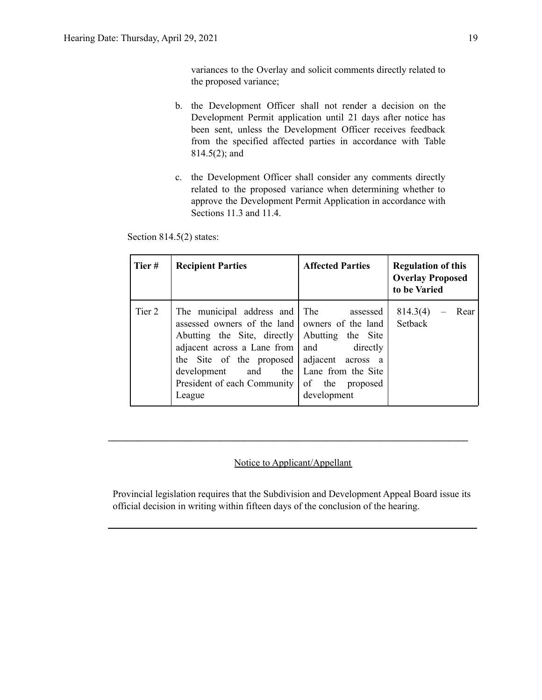variances to the Overlay and solicit comments directly related to the proposed variance;

- b. the Development Officer shall not render a decision on the Development Permit application until 21 days after notice has been sent, unless the Development Officer receives feedback from the specified affected parties in accordance with Table 814.5(2); and
- c. the Development Officer shall consider any comments directly related to the proposed variance when determining whether to approve the Development Permit Application in accordance with Sections 11.3 and 11.4.

Section 814.5(2) states:

| Tier#  | <b>Recipient Parties</b>                                                                                                                                                                                                                                                                           | <b>Affected Parties</b>                                       | <b>Regulation of this</b><br><b>Overlay Proposed</b><br>to be Varied |
|--------|----------------------------------------------------------------------------------------------------------------------------------------------------------------------------------------------------------------------------------------------------------------------------------------------------|---------------------------------------------------------------|----------------------------------------------------------------------|
| Tier 2 | The municipal address and The<br>assessed owners of the land owners of the land<br>Abutting the Site, directly   Abutting the Site<br>adjacent across a Lane from<br>the Site of the proposed adjacent across a<br>development and the Lane from the Site<br>President of each Community<br>League | assessed<br>and<br>directly<br>of the proposed<br>development | 814.3(4)<br>Rear<br>Setback                                          |

### Notice to Applicant/Appellant

**\_\_\_\_\_\_\_\_\_\_\_\_\_\_\_\_\_\_\_\_\_\_\_\_\_\_\_\_\_\_\_\_\_\_\_\_\_\_\_\_\_\_\_\_\_\_\_\_\_\_\_\_\_\_\_\_\_\_\_\_\_\_\_\_\_\_\_\_\_\_\_\_\_\_**

Provincial legislation requires that the Subdivision and Development Appeal Board issue its official decision in writing within fifteen days of the conclusion of the hearing.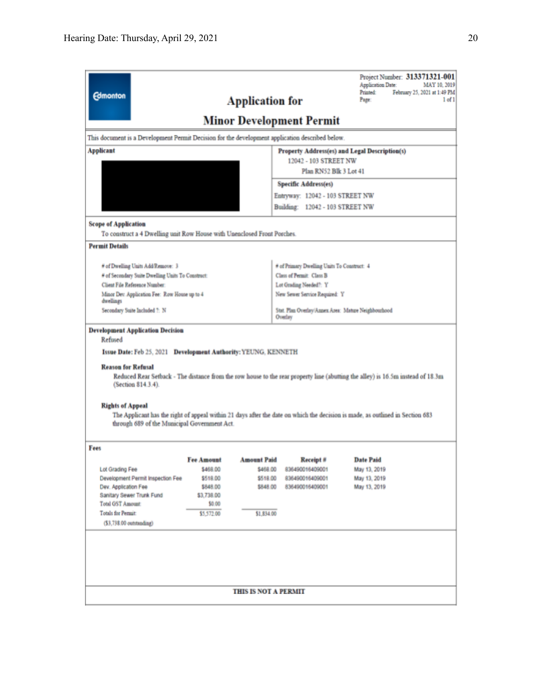|                                                                                                 |                        |                        |                                                                | Project Number: 313371321-001<br>Application Date:<br>MAY 10, 2019                                                              |  |  |  |  |  |
|-------------------------------------------------------------------------------------------------|------------------------|------------------------|----------------------------------------------------------------|---------------------------------------------------------------------------------------------------------------------------------|--|--|--|--|--|
| <b>Edmonton</b>                                                                                 |                        | <b>Application for</b> |                                                                | Printed:<br>February 25, 2021 at 1:49 PM<br>Page:<br>1 of 1                                                                     |  |  |  |  |  |
| Minor Development Permit                                                                        |                        |                        |                                                                |                                                                                                                                 |  |  |  |  |  |
| This document is a Development Permit Decision for the development application described below. |                        |                        |                                                                |                                                                                                                                 |  |  |  |  |  |
| Applicant                                                                                       |                        |                        | Property Address(es) and Legal Description(s)                  |                                                                                                                                 |  |  |  |  |  |
|                                                                                                 |                        |                        | 12042 - 103 STREET NW                                          |                                                                                                                                 |  |  |  |  |  |
|                                                                                                 |                        |                        | Plan RN52 Blk 3 Lot 41                                         |                                                                                                                                 |  |  |  |  |  |
|                                                                                                 |                        |                        | <b>Specific Address(es)</b>                                    |                                                                                                                                 |  |  |  |  |  |
|                                                                                                 |                        |                        | Entryway: 12042 - 103 STREET NW                                |                                                                                                                                 |  |  |  |  |  |
|                                                                                                 |                        |                        | Building: 12042 - 103 STREET NW                                |                                                                                                                                 |  |  |  |  |  |
| <b>Scope of Application</b>                                                                     |                        |                        |                                                                |                                                                                                                                 |  |  |  |  |  |
| To construct a 4 Dwelling unit Row House with Unenclosed Front Porches.                         |                        |                        |                                                                |                                                                                                                                 |  |  |  |  |  |
| <b>Permit Details</b>                                                                           |                        |                        |                                                                |                                                                                                                                 |  |  |  |  |  |
| # of Dwelling Units Add/Remove: 3                                                               |                        |                        | # of Primary Dwelling Units To Construct: 4                    |                                                                                                                                 |  |  |  |  |  |
| # of Secondary Suite Dwelling Units To Construct:                                               |                        |                        | Class of Permit: Class B                                       |                                                                                                                                 |  |  |  |  |  |
| Client File Reference Number:                                                                   |                        |                        | Lot Grading Needed?: Y                                         |                                                                                                                                 |  |  |  |  |  |
| Minor Dev. Application Fee: Row House up to 4<br>dwellings                                      |                        |                        | New Sewer Service Required: Y                                  |                                                                                                                                 |  |  |  |  |  |
| Secondary Suite Included ?: N                                                                   |                        |                        | Stat. Plan Overlay/Annex Area: Mature Neighbourhood<br>Overlay |                                                                                                                                 |  |  |  |  |  |
| <b>Development Application Decision</b><br>Refused                                              |                        |                        |                                                                |                                                                                                                                 |  |  |  |  |  |
| Issue Date: Feb 25, 2021 Development Authority: YEUNG, KENNETH                                  |                        |                        |                                                                |                                                                                                                                 |  |  |  |  |  |
| <b>Reason for Refusal</b><br>(Section 814.3.4).                                                 |                        |                        |                                                                | Reduced Rear Setback - The distance from the row house to the rear property line (abutting the alley) is 16.5m instead of 18.3m |  |  |  |  |  |
| <b>Rights of Appeal</b>                                                                         |                        |                        |                                                                |                                                                                                                                 |  |  |  |  |  |
| through 689 of the Municipal Government Act.                                                    |                        |                        |                                                                | The Applicant has the right of appeal within 21 days after the date on which the decision is made, as outlined in Section 683   |  |  |  |  |  |
|                                                                                                 |                        |                        |                                                                |                                                                                                                                 |  |  |  |  |  |
| Fees                                                                                            |                        |                        |                                                                |                                                                                                                                 |  |  |  |  |  |
|                                                                                                 | <b>Fee Amount</b>      | <b>Amount Paid</b>     | Receipt #                                                      | Date Paid                                                                                                                       |  |  |  |  |  |
| Lot Grading Fee                                                                                 | \$468.00               | \$468.00               | 836490016409001                                                | May 13, 2019                                                                                                                    |  |  |  |  |  |
| Development Permit Inspection Fee                                                               | \$518.00               | \$518.00               | 836490016409001                                                | May 13, 2019                                                                                                                    |  |  |  |  |  |
| Dev. Application Fee<br>Sanitary Sewer Trunk Fund                                               | \$848.00<br>\$3,738.00 | \$848.00               | 836490016409001                                                | May 13, 2019                                                                                                                    |  |  |  |  |  |
| <b>Total GST Amount:</b>                                                                        | \$0.00                 |                        |                                                                |                                                                                                                                 |  |  |  |  |  |
| <b>Totals for Permit:</b>                                                                       | \$5,572.00             | \$1,834.00             |                                                                |                                                                                                                                 |  |  |  |  |  |
| $(53,738.00$ outstanding)                                                                       |                        |                        |                                                                |                                                                                                                                 |  |  |  |  |  |
|                                                                                                 |                        |                        |                                                                |                                                                                                                                 |  |  |  |  |  |
| THIS IS NOT A PERMIT                                                                            |                        |                        |                                                                |                                                                                                                                 |  |  |  |  |  |
|                                                                                                 |                        |                        |                                                                |                                                                                                                                 |  |  |  |  |  |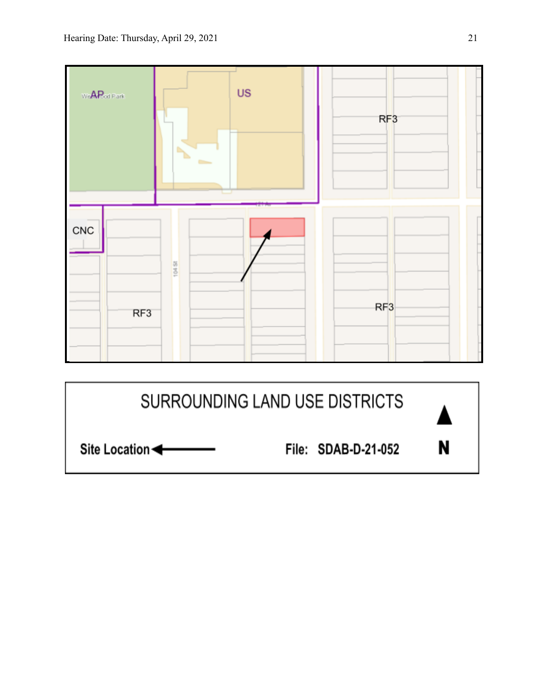

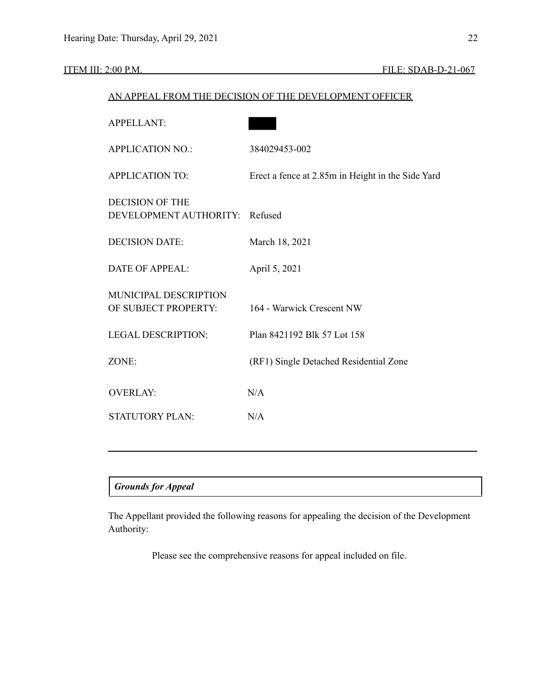| AN APPEAL FROM THE DECISION OF THE DEVELOPMENT OFFICER |                                                   |  |  |  |
|--------------------------------------------------------|---------------------------------------------------|--|--|--|
| <b>APPELLANT:</b>                                      |                                                   |  |  |  |
| <b>APPLICATION NO.:</b>                                | 384029453-002                                     |  |  |  |
| <b>APPLICATION TO:</b>                                 | Erect a fence at 2.85m in Height in the Side Yard |  |  |  |
| <b>DECISION OF THE</b><br>DEVELOPMENT AUTHORITY:       | Refused                                           |  |  |  |
| <b>DECISION DATE:</b>                                  | March 18, 2021                                    |  |  |  |
| <b>DATE OF APPEAL:</b>                                 | April 5, 2021                                     |  |  |  |
| <b>MUNICIPAL DESCRIPTION</b><br>OF SUBJECT PROPERTY:   | 164 - Warwick Crescent NW                         |  |  |  |
| <b>LEGAL DESCRIPTION:</b>                              | Plan 8421192 Blk 57 Lot 158                       |  |  |  |
| ZONE:                                                  | (RF1) Single Detached Residential Zone            |  |  |  |
| <b>OVERLAY:</b>                                        | N/A                                               |  |  |  |
| <b>STATUTORY PLAN:</b>                                 | N/A                                               |  |  |  |
|                                                        |                                                   |  |  |  |

## *Grounds for Appeal*

The Appellant provided the following reasons for appealing the decision of the Development Authority:

Please see the comprehensive reasons for appeal included on file.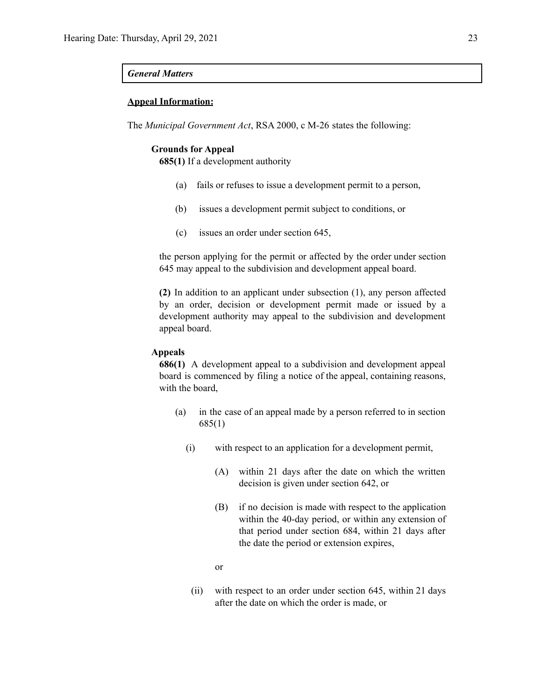#### *General Matters*

#### **Appeal Information:**

The *Municipal Government Act*, RSA 2000, c M-26 states the following:

#### **Grounds for Appeal**

**685(1)** If a development authority

- (a) fails or refuses to issue a development permit to a person,
- (b) issues a development permit subject to conditions, or
- (c) issues an order under section 645,

the person applying for the permit or affected by the order under section 645 may appeal to the subdivision and development appeal board.

**(2)** In addition to an applicant under subsection (1), any person affected by an order, decision or development permit made or issued by a development authority may appeal to the subdivision and development appeal board.

#### **Appeals**

**686(1)** A development appeal to a subdivision and development appeal board is commenced by filing a notice of the appeal, containing reasons, with the board,

- (a) in the case of an appeal made by a person referred to in section 685(1)
	- (i) with respect to an application for a development permit,
		- (A) within 21 days after the date on which the written decision is given under section 642, or
		- (B) if no decision is made with respect to the application within the 40-day period, or within any extension of that period under section 684, within 21 days after the date the period or extension expires,
		- or
		- (ii) with respect to an order under section 645, within 21 days after the date on which the order is made, or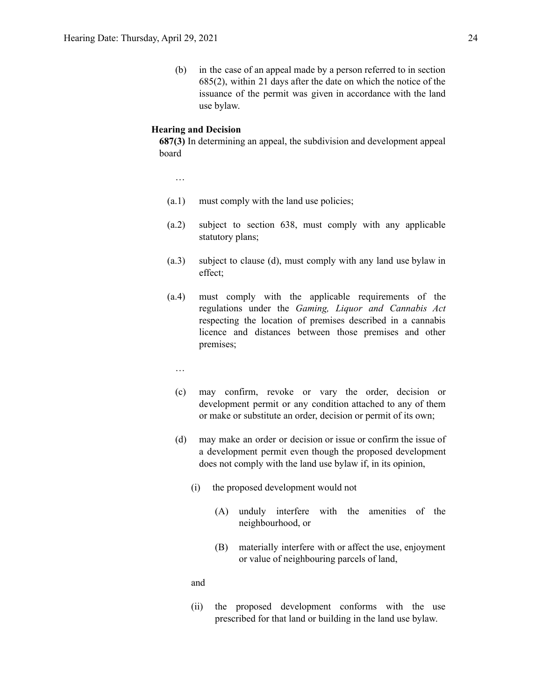(b) in the case of an appeal made by a person referred to in section 685(2), within 21 days after the date on which the notice of the issuance of the permit was given in accordance with the land use bylaw.

#### **Hearing and Decision**

**687(3)** In determining an appeal, the subdivision and development appeal board

…

- (a.1) must comply with the land use policies;
- (a.2) subject to section 638, must comply with any applicable statutory plans;
- (a.3) subject to clause (d), must comply with any land use bylaw in effect;
- (a.4) must comply with the applicable requirements of the regulations under the *Gaming, Liquor and Cannabis Act* respecting the location of premises described in a cannabis licence and distances between those premises and other premises;
	- …
	- (c) may confirm, revoke or vary the order, decision or development permit or any condition attached to any of them or make or substitute an order, decision or permit of its own;
	- (d) may make an order or decision or issue or confirm the issue of a development permit even though the proposed development does not comply with the land use bylaw if, in its opinion,
		- (i) the proposed development would not
			- (A) unduly interfere with the amenities of the neighbourhood, or
			- (B) materially interfere with or affect the use, enjoyment or value of neighbouring parcels of land,

and

(ii) the proposed development conforms with the use prescribed for that land or building in the land use bylaw.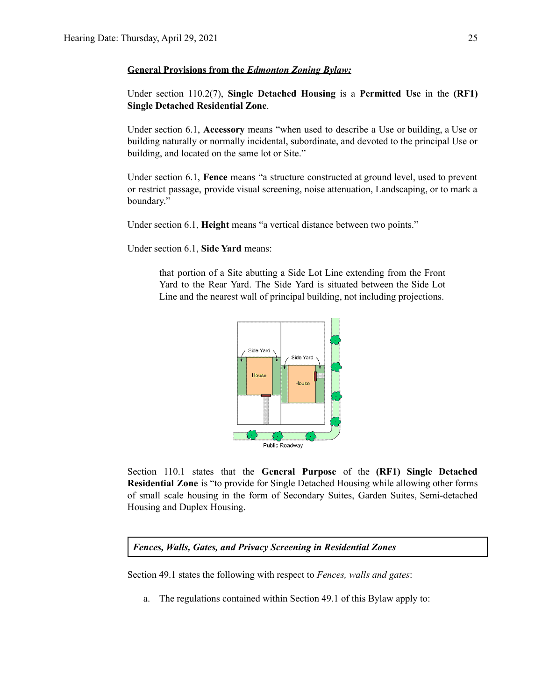#### **General Provisions from the** *Edmonton Zoning Bylaw:*

Under section 110.2(7), **Single Detached Housing** is a **Permitted Use** in the **(RF1) Single Detached Residential Zone**.

Under section 6.1, **Accessory** means "when used to describe a Use or building, a Use or building naturally or normally incidental, subordinate, and devoted to the principal Use or building, and located on the same lot or Site."

Under section 6.1, **Fence** means "a structure constructed at ground level, used to prevent or restrict passage, provide visual screening, noise attenuation, Landscaping, or to mark a boundary."

Under section 6.1, **Height** means "a vertical distance between two points."

Under section 6.1, **Side Yard** means:

that portion of a Site abutting a Side Lot Line extending from the Front Yard to the Rear Yard. The Side Yard is situated between the Side Lot Line and the nearest wall of principal building, not including projections.



Section 110.1 states that the **General Purpose** of the **(RF1) Single Detached Residential Zone** is "to provide for Single Detached Housing while allowing other forms of small scale housing in the form of Secondary Suites, Garden Suites, Semi-detached Housing and Duplex Housing.

*Fences, Walls, Gates, and Privacy Screening in Residential Zones*

Section 49.1 states the following with respect to *Fences, walls and gates*:

a. The regulations contained within Section 49.1 of this Bylaw apply to: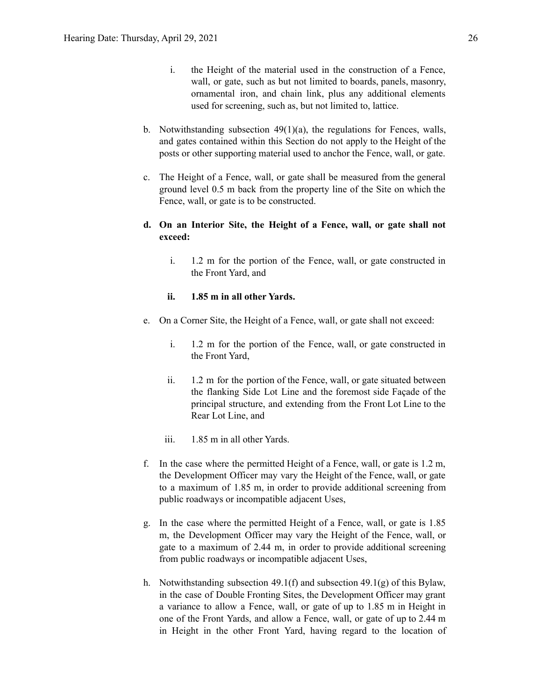- i. the Height of the material used in the construction of a Fence, wall, or gate, such as but not limited to boards, panels, masonry, ornamental iron, and chain link, plus any additional elements used for screening, such as, but not limited to, lattice.
- b. Notwithstanding subsection  $49(1)(a)$ , the regulations for Fences, walls, and gates contained within this Section do not apply to the Height of the posts or other supporting material used to anchor the Fence, wall, or gate.
- c. The Height of a Fence, wall, or gate shall be measured from the general ground level 0.5 m back from the property line of the Site on which the Fence, wall, or gate is to be constructed.
- **d. On an Interior Site, the Height of a Fence, wall, or gate shall not exceed:**
	- i. 1.2 m for the portion of the Fence, wall, or gate constructed in the Front Yard, and

### **ii. 1.85 m in all other Yards.**

- e. On a Corner Site, the Height of a Fence, wall, or gate shall not exceed:
	- i. 1.2 m for the portion of the Fence, wall, or gate constructed in the Front Yard,
	- ii. 1.2 m for the portion of the Fence, wall, or gate situated between the flanking Side Lot Line and the foremost side Façade of the principal structure, and extending from the Front Lot Line to the Rear Lot Line, and
	- iii. 1.85 m in all other Yards.
- f. In the case where the permitted Height of a Fence, wall, or gate is 1.2 m, the Development Officer may vary the Height of the Fence, wall, or gate to a maximum of 1.85 m, in order to provide additional screening from public roadways or incompatible adjacent Uses,
- g. In the case where the permitted Height of a Fence, wall, or gate is 1.85 m, the Development Officer may vary the Height of the Fence, wall, or gate to a maximum of 2.44 m, in order to provide additional screening from public roadways or incompatible adjacent Uses,
- h. Notwithstanding subsection 49.1(f) and subsection 49.1(g) of this Bylaw, in the case of Double Fronting Sites, the Development Officer may grant a variance to allow a Fence, wall, or gate of up to 1.85 m in Height in one of the Front Yards, and allow a Fence, wall, or gate of up to 2.44 m in Height in the other Front Yard, having regard to the location of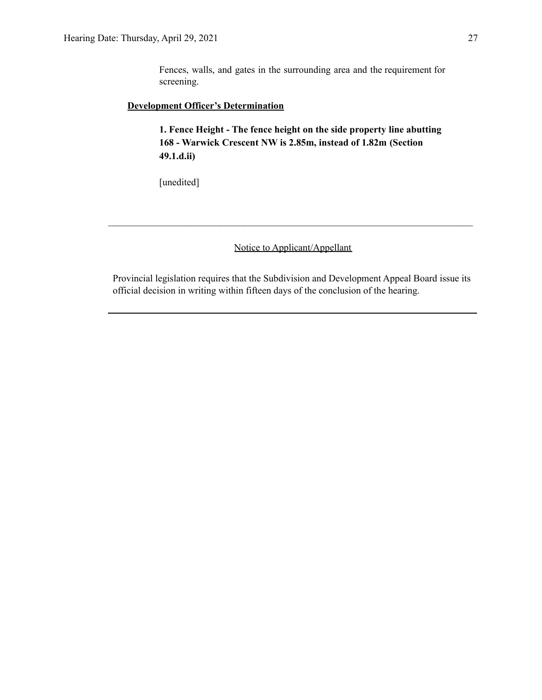Fences, walls, and gates in the surrounding area and the requirement for screening.

#### **Development Officer's Determination**

**1. Fence Height - The fence height on the side property line abutting 168 - Warwick Crescent NW is 2.85m, instead of 1.82m (Section 49.1.d.ii)**

[unedited]

Notice to Applicant/Appellant

 $\mathcal{L}_\text{max} = \frac{1}{2} \sum_{i=1}^n \mathcal{L}_\text{max} = \frac{1}{2} \sum_{i=1}^n \mathcal{L}_\text{max} = \frac{1}{2} \sum_{i=1}^n \mathcal{L}_\text{max} = \frac{1}{2} \sum_{i=1}^n \mathcal{L}_\text{max} = \frac{1}{2} \sum_{i=1}^n \mathcal{L}_\text{max} = \frac{1}{2} \sum_{i=1}^n \mathcal{L}_\text{max} = \frac{1}{2} \sum_{i=1}^n \mathcal{L}_\text{max} = \frac{1}{2} \sum_{i=$ 

Provincial legislation requires that the Subdivision and Development Appeal Board issue its official decision in writing within fifteen days of the conclusion of the hearing.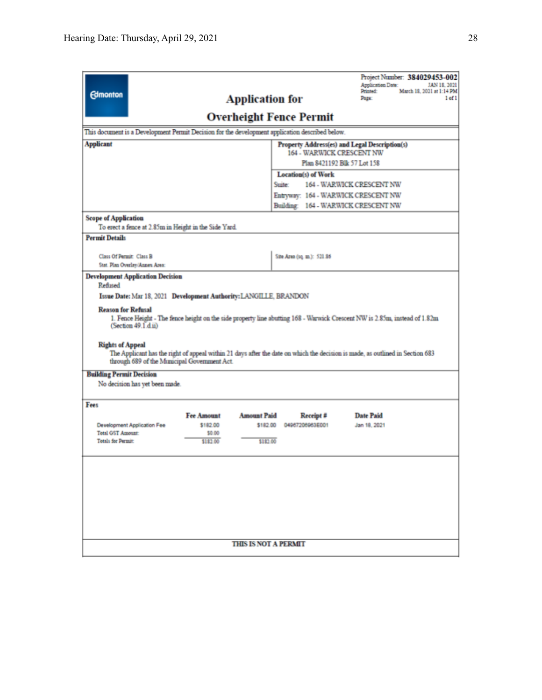| <b>Edmonton</b>                                                                                                                                                                                                                                                                                                                                                                                                                                                 | <b>Application for</b>                                                                            |                                     | Project Number: 384029453-002<br><b>Application Date:</b><br>JAN 18, 2021<br>March 18, 2021 at 1:14 PM<br>Printed:<br>Page:<br>1 of 1 |  |  |  |  |  |
|-----------------------------------------------------------------------------------------------------------------------------------------------------------------------------------------------------------------------------------------------------------------------------------------------------------------------------------------------------------------------------------------------------------------------------------------------------------------|---------------------------------------------------------------------------------------------------|-------------------------------------|---------------------------------------------------------------------------------------------------------------------------------------|--|--|--|--|--|
| <b>Overheight Fence Permit</b>                                                                                                                                                                                                                                                                                                                                                                                                                                  |                                                                                                   |                                     |                                                                                                                                       |  |  |  |  |  |
| This document is a Development Permit Decision for the development application described below.                                                                                                                                                                                                                                                                                                                                                                 |                                                                                                   |                                     |                                                                                                                                       |  |  |  |  |  |
| <b>Applicant</b><br>Property Address(es) and Legal Description(s)                                                                                                                                                                                                                                                                                                                                                                                               |                                                                                                   |                                     |                                                                                                                                       |  |  |  |  |  |
| 164 - WARWICK CRESCENT NW<br>Plan 8421192 Blk 57 Lot 158                                                                                                                                                                                                                                                                                                                                                                                                        |                                                                                                   |                                     |                                                                                                                                       |  |  |  |  |  |
| <b>Location(s)</b> of Work                                                                                                                                                                                                                                                                                                                                                                                                                                      |                                                                                                   |                                     |                                                                                                                                       |  |  |  |  |  |
|                                                                                                                                                                                                                                                                                                                                                                                                                                                                 | Suite:                                                                                            | <b>164 - WARWICK CRESCENT NW</b>    |                                                                                                                                       |  |  |  |  |  |
|                                                                                                                                                                                                                                                                                                                                                                                                                                                                 |                                                                                                   | Entryway: 164 - WARWICK CRESCENT NW |                                                                                                                                       |  |  |  |  |  |
|                                                                                                                                                                                                                                                                                                                                                                                                                                                                 |                                                                                                   | Building: 164 - WARWICK CRESCENT NW |                                                                                                                                       |  |  |  |  |  |
| <b>Scope of Application</b><br>To erect a fence at 2.85m in Height in the Side Yard.                                                                                                                                                                                                                                                                                                                                                                            |                                                                                                   |                                     |                                                                                                                                       |  |  |  |  |  |
| <b>Permit Details</b>                                                                                                                                                                                                                                                                                                                                                                                                                                           |                                                                                                   |                                     |                                                                                                                                       |  |  |  |  |  |
| Class Of Permit: Class B                                                                                                                                                                                                                                                                                                                                                                                                                                        |                                                                                                   | Site Area (sq. m.): 521.86          |                                                                                                                                       |  |  |  |  |  |
| Stat. Plan Overlay/Annex Area:                                                                                                                                                                                                                                                                                                                                                                                                                                  |                                                                                                   |                                     |                                                                                                                                       |  |  |  |  |  |
| <b>Reason for Refusal</b><br>1. Fence Height - The fence height on the side property line abutting 168 - Warwick Crescent NW is 2.85m, instead of 1.82m<br>(Section 49.1. dii)<br><b>Rights of Appeal</b><br>The Applicant has the right of appeal within 21 days after the date on which the decision is made, as outlined in Section 683<br>through 689 of the Municipal Government Act.<br><b>Building Permit Decision</b><br>No decision has yet been made. |                                                                                                   |                                     |                                                                                                                                       |  |  |  |  |  |
| Fees                                                                                                                                                                                                                                                                                                                                                                                                                                                            |                                                                                                   |                                     |                                                                                                                                       |  |  |  |  |  |
| <b>Development Application Fee</b><br><b>Total GST Amount:</b><br>Totals for Permit:                                                                                                                                                                                                                                                                                                                                                                            | <b>Fee Amount</b><br><b>Amount Paid</b><br>\$182.00<br>\$182.00<br>\$0.00<br>\$182.00<br>\$182.00 | Receipt #<br>04967206963E001        | Date Paid<br>Jan 18, 2021                                                                                                             |  |  |  |  |  |
|                                                                                                                                                                                                                                                                                                                                                                                                                                                                 |                                                                                                   | <b>THIS IS NOT A PERMIT</b>         |                                                                                                                                       |  |  |  |  |  |